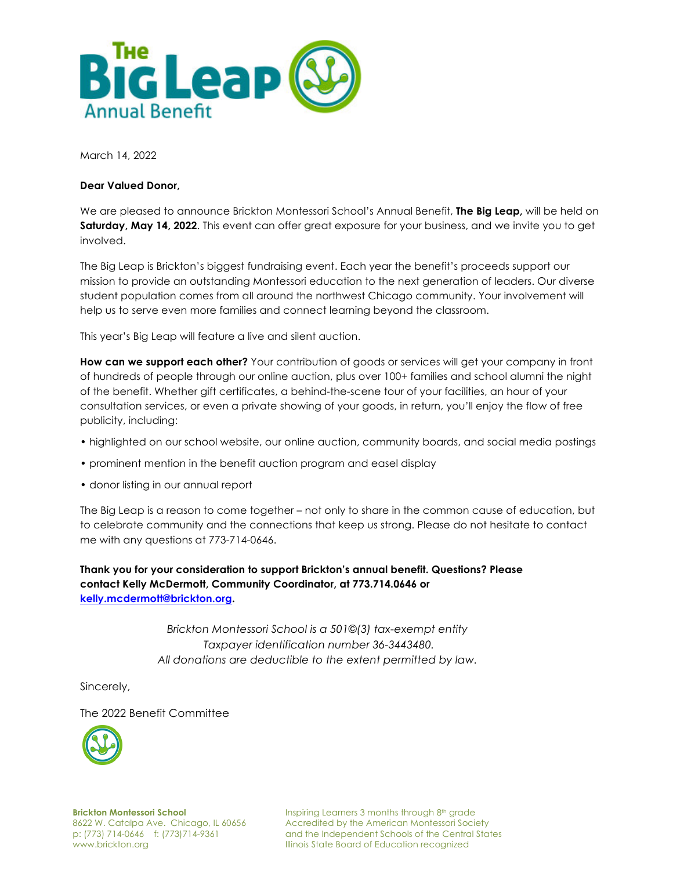

March 14, 2022

## **Dear Valued Donor,**

We are pleased to announce Brickton Montessori School's Annual Benefit, **The Big Leap,** will be held on **Saturday, May 14, 2022**. This event can offer great exposure for your business, and we invite you to get involved.

The Big Leap is Brickton's biggest fundraising event. Each year the benefit's proceeds support our mission to provide an outstanding Montessori education to the next generation of leaders. Our diverse student population comes from all around the northwest Chicago community. Your involvement will help us to serve even more families and connect learning beyond the classroom.

This year's Big Leap will feature a live and silent auction.

**How can we support each other?** Your contribution of goods or services will get your company in front of hundreds of people through our online auction, plus over 100+ families and school alumni the night of the benefit. Whether gift certificates, a behind-the-scene tour of your facilities, an hour of your consultation services, or even a private showing of your goods, in return, you'll enjoy the flow of free publicity, including:

- highlighted on our school website, our online auction, community boards, and social media postings
- prominent mention in the benefit auction program and easel display
- donor listing in our annual report

The Big Leap is a reason to come together – not only to share in the common cause of education, but to celebrate community and the connections that keep us strong. Please do not hesitate to contact me with any questions at 773-714-0646.

**Thank you for your consideration to support Brickton's annual benefit. Questions? Please contact Kelly McDermott, Community Coordinator, at 773.714.0646 or kelly.mcdermott@brickton.org.**

> *Brickton Montessori School is a 501©(3) tax-exempt entity Taxpayer identification number 36-3443480. All donations are deductible to the extent permitted by law.*

Sincerely,

The 2022 Benefit Committee



**Brickton Montessori School** 8622 W. Catalpa Ave. Chicago, IL 60656 p: (773) 714-0646 f: (773)714-9361 www.brickton.org

Inspiring Learners 3 months through 8th grade Accredited by the American Montessori Society and the Independent Schools of the Central States Illinois State Board of Education recognized